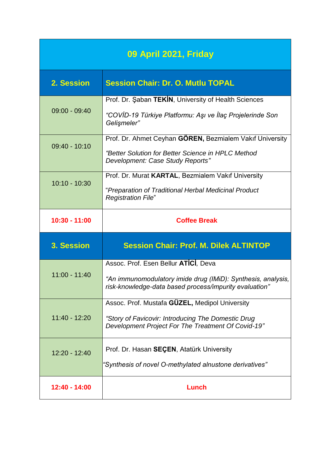| 09 April 2021, Friday |                                                                                                                                                                |
|-----------------------|----------------------------------------------------------------------------------------------------------------------------------------------------------------|
| 2. Session            | <b>Session Chair: Dr. O. Mutlu TOPAL</b>                                                                                                                       |
| $09:00 - 09:40$       | Prof. Dr. Şaban TEKİN, University of Health Sciences<br>"COVİD-19 Türkiye Platformu: Aşı ve İlaç Projelerinde Son<br>Gelişmeler"                               |
| $09:40 - 10:10$       | Prof. Dr. Ahmet Ceyhan GÖREN, Bezmialem Vakıf University<br>"Better Solution for Better Science in HPLC Method<br>Development: Case Study Reports"             |
| $10:10 - 10:30$       | Prof. Dr. Murat KARTAL, Bezmialem Vakıf University<br>"Preparation of Traditional Herbal Medicinal Product<br><b>Registration File"</b>                        |
| $10:30 - 11:00$       | <b>Coffee Break</b>                                                                                                                                            |
| 3. Session            | <b>Session Chair: Prof. M. Dilek ALTINTOP</b>                                                                                                                  |
| $11:00 - 11:40$       | Assoc. Prof. Esen Bellur ATICI, Deva<br>"An immunomodulatory imide drug (IMiD): Synthesis, analysis,<br>risk-knowledge-data based process/impurity evaluation" |
| $11:40 - 12:20$       | Assoc. Prof. Mustafa GÜZEL, Medipol University<br>"Story of Favicovir: Introducing The Domestic Drug<br>Development Project For The Treatment Of Covid-19"     |
| $12:20 - 12:40$       | Prof. Dr. Hasan SEÇEN, Atatürk University<br>"Synthesis of novel O-methylated alnustone derivatives"                                                           |
| 12:40 - 14:00         | Lunch                                                                                                                                                          |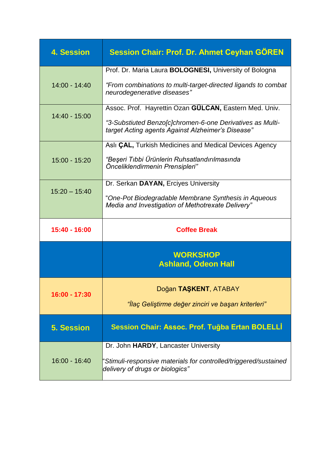| <b>4. Session</b> | <b>Session Chair: Prof. Dr. Ahmet Ceyhan GÖREN</b>                                                                                                                       |
|-------------------|--------------------------------------------------------------------------------------------------------------------------------------------------------------------------|
| $14:00 - 14:40$   | Prof. Dr. Maria Laura BOLOGNESI, University of Bologna<br>"From combinations to multi-target-directed ligands to combat<br>neurodegenerative diseases"                   |
| 14:40 - 15:00     | Assoc. Prof. Hayrettin Ozan GÜLCAN, Eastern Med. Univ.<br>"3-Substiuted Benzo[c]chromen-6-one Derivatives as Multi-<br>target Acting agents Against Alzheimer's Disease" |
| 15:00 - 15:20     | Aslı CAL, Turkish Medicines and Medical Devices Agency<br>"Beşeri Tıbbi Ürünlerin Ruhsatlandırılmasında<br>Önceliklendirmenin Prensipleri"                               |
| $15:20 - 15:40$   | Dr. Serkan DAYAN, Erciyes University<br>"One-Pot Biodegradable Membrane Synthesis in Aqueous<br>Media and Investigation of Methotrexate Delivery"                        |
| 15:40 - 16:00     | <b>Coffee Break</b>                                                                                                                                                      |
|                   |                                                                                                                                                                          |
|                   | <b>WORKSHOP</b><br><b>Ashland, Odeon Hall</b>                                                                                                                            |
| 16:00 - 17:30     | Doğan TAŞKENT, ATABAY<br>"İlaç Geliştirme değer zinciri ve başarı kriterleri"                                                                                            |
| <b>5. Session</b> | Session Chair: Assoc. Prof. Tuğba Ertan BOLELLİ                                                                                                                          |